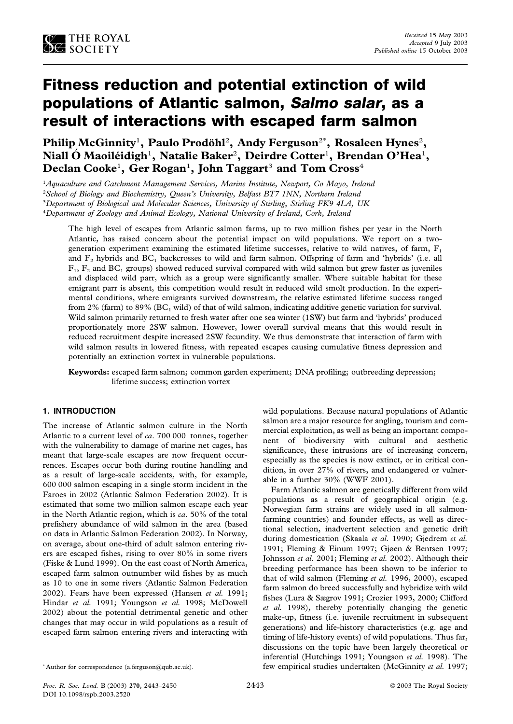

# **Fitness reduction and potential extinction of wild populations of Atlantic salmon, Salmo salar, as a result of interactions with escaped farm salmon**

 $\mathbf{Philip McGinnity}^1, \ \mathbf{Paulo}\ \mathbf{Prodöhl}^2, \ \mathbf{Andy}\ \mathbf{Ferguson}^{2^*}, \ \mathbf{Rosaleen}\ \mathbf{Hynes}^2,$ **Niall O´ Maoile´idigh**<sup>1</sup> **, Natalie Baker**<sup>2</sup> **, Deirdre Cotter**<sup>1</sup> **, Brendan O'Hea**<sup>1</sup> **,**  $\bf{D}$ eclan  $\bf{C}$ ooke<sup>1</sup>,  $\bf{G}$ er  $\bf{R}$ ogan<sup>1</sup>,  $\bf{J}$ ohn  $\bf{T}$ aggart $^3$  and  $\bf{T}$ om  $\bf{C}$ ross $^4$ 

 *Aquaculture and Catchment Management Services, Marine Institute, Newport, Co Mayo, Ireland School of Biology and Biochemistry, Queen's University, Belfast BT7 1NN, Northern Ireland Department of Biological and Molecular Sciences, University of Stirling, Stirling FK9 4LA, UK Department of Zoology and Animal Ecology, National University of Ireland, Cork, Ireland*

The high level of escapes from Atlantic salmon farms, up to two million fishes per year in the North Atlantic, has raised concern about the potential impact on wild populations. We report on a twogeneration experiment examining the estimated lifetime successes, relative to wild natives, of farm,  $F_1$ and  $F_2$  hybrids and  $BC_1$  backcrosses to wild and farm salmon. Offspring of farm and 'hybrids' (i.e. all  $F_1, F_2$  and BC<sub>1</sub> groups) showed reduced survival compared with wild salmon but grew faster as juveniles and displaced wild parr, which as a group were significantly smaller. Where suitable habitat for these emigrant parr is absent, this competition would result in reduced wild smolt production. In the experimental conditions, where emigrants survived downstream, the relative estimated lifetime success ranged from 2% (farm) to 89% ( $BC<sub>1</sub>$  wild) of that of wild salmon, indicating additive genetic variation for survival. Wild salmon primarily returned to fresh water after one sea winter (1SW) but farm and 'hybrids' produced proportionately more 2SW salmon. However, lower overall survival means that this would result in reduced recruitment despite increased 2SW fecundity. We thus demonstrate that interaction of farm with wild salmon results in lowered fitness, with repeated escapes causing cumulative fitness depression and potentially an extinction vortex in vulnerable populations.

**Keywords:** escaped farm salmon; common garden experiment; DNA profiling; outbreeding depression; lifetime success; extinction vortex

# **1. INTRODUCTION**

The increase of Atlantic salmon culture in the North Atlantic to a current level of *ca*. 700 000 tonnes, together with the vulnerability to damage of marine net cages, has meant that large-scale escapes are now frequent occurrences. Escapes occur both during routine handling and as a result of large-scale accidents, with, for example, 600 000 salmon escaping in a single storm incident in the Faroes in 2002 (Atlantic Salmon Federation 2002). It is estimated that some two million salmon escape each year in the North Atlantic region, which is *ca*. 50% of the total prefishery abundance of wild salmon in the area (based on data in Atlantic Salmon Federation 2002). In Norway, on average, about one-third of adult salmon entering rivers are escaped fishes, rising to over 80% in some rivers (Fiske & Lund 1999). On the east coast of North America, escaped farm salmon outnumber wild fishes by as much as 10 to one in some rivers (Atlantic Salmon Federation 2002). Fears have been expressed (Hansen *et al.* 1991; Hindar *et al.* 1991; Youngson *et al.* 1998; McDowell 2002) about the potential detrimental genetic and other changes that may occur in wild populations as a result of escaped farm salmon entering rivers and interacting with wild populations. Because natural populations of Atlantic salmon are a major resource for angling, tourism and commercial exploitation, as well as being an important component of biodiversity with cultural and aesthetic significance, these intrusions are of increasing concern, especially as the species is now extinct, or in critical condition, in over 27% of rivers, and endangered or vulnerable in a further 30% (WWF 2001).

Farm Atlantic salmon are genetically different from wild populations as a result of geographical origin (e.g. Norwegian farm strains are widely used in all salmonfarming countries) and founder effects, as well as directional selection, inadvertent selection and genetic drift during domestication (Skaala *et al.* 1990; Gjedrem *et al.* 1991; Fleming & Einum 1997; Gjøen & Bentsen 1997; Johnsson *et al.* 2001; Fleming *et al.* 2002). Although their breeding performance has been shown to be inferior to that of wild salmon (Fleming *et al.* 1996, 2000), escaped farm salmon do breed successfully and hybridize with wild fishes (Lura & Sægrov 1991; Crozier 1993, 2000; Clifford *et al.* 1998), thereby potentially changing the genetic make-up, fitness (i.e. juvenile recruitment in subsequent generations) and life-history characteristics (e.g. age and timing of life-history events) of wild populations. Thus far, discussions on the topic have been largely theoretical or inferential (Hutchings 1991; Youngson *et al.* 1998). The few empirical studies undertaken (McGinnity *et al.* 1997;

<sup>\*</sup> Author for correspondence (a.ferguson@qub.ac.uk).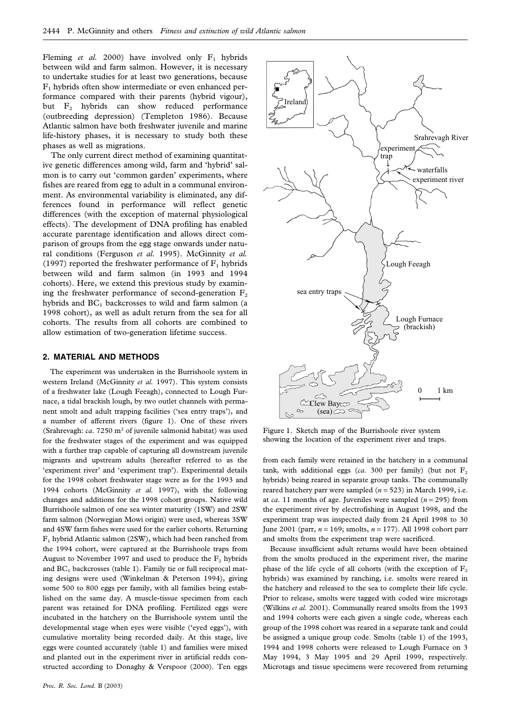Fleming *et al.* 2000) have involved only  $F_1$  hybrids between wild and farm salmon. However, it is necessary to undertake studies for at least two generations, because  $F<sub>1</sub>$  hybrids often show intermediate or even enhanced performance compared with their parents (hybrid vigour), but F<sub>2</sub> hybrids can show reduced performance (outbreeding depression) (Templeton 1986). Because Atlantic salmon have both freshwater juvenile and marine life-history phases, it is necessary to study both these phases as well as migrations.

The only current direct method of examining quantitative genetic differences among wild, farm and 'hybrid' salmon is to carry out 'common garden' experiments, where fishes are reared from egg to adult in a communal environment. As environmental variability is eliminated, any differences found in performance will reflect genetic differences (with the exception of maternal physiological effects). The development of DNA profiling has enabled accurate parentage identification and allows direct comparison of groups from the egg stage onwards under natural conditions (Ferguson *et al.* 1995). McGinnity *et al.* (1997) reported the freshwater performance of  $F_1$  hybrids between wild and farm salmon (in 1993 and 1994 cohorts). Here, we extend this previous study by examining the freshwater performance of second-generation  $F_2$ hybrids and  $BC<sub>1</sub>$  backcrosses to wild and farm salmon (a 1998 cohort), as well as adult return from the sea for all cohorts. The results from all cohorts are combined to allow estimation of two-generation lifetime success.

#### **2. MATERIAL AND METHODS**

The experiment was undertaken in the Burrishoole system in western Ireland (McGinnity *et al.* 1997). This system consists of a freshwater lake (Lough Feeagh), connected to Lough Furnace, a tidal brackish lough, by two outlet channels with permanent smolt and adult trapping facilities ('sea entry traps'), and a number of afferent rivers (figure 1). One of these rivers (Srahrevagh: *ca*. 7250 m<sup>2</sup> of juvenile salmonid habitat) was used for the freshwater stages of the experiment and was equipped with a further trap capable of capturing all downstream juvenile migrants and upstream adults (hereafter referred to as the 'experiment river' and 'experiment trap'). Experimental details for the 1998 cohort freshwater stage were as for the 1993 and 1994 cohorts (McGinnity *et al.* 1997), with the following changes and additions for the 1998 cohort groups. Native wild Burrishoole salmon of one sea winter maturity (1SW) and 2SW farm salmon (Norwegian Mowi origin) were used, whereas 3SW and 4SW farm fishes were used for the earlier cohorts. Returning  $F_1$  hybrid Atlantic salmon (2SW), which had been ranched from the 1994 cohort, were captured at the Burrishoole traps from August to November 1997 and used to produce the  $F_2$  hybrids and  $BC<sub>1</sub>$  backcrosses (table 1). Family tie or full reciprocal mating designs were used (Winkelman & Peterson 1994), giving some 500 to 800 eggs per family, with all families being established on the same day. A muscle-tissue specimen from each parent was retained for DNA profiling. Fertilized eggs were incubated in the hatchery on the Burrishoole system until the developmental stage when eyes were visible ('eyed eggs'), with cumulative mortality being recorded daily. At this stage, live eggs were counted accurately (table 1) and families were mixed and planted out in the experiment river in artificial redds constructed according to Donaghy & Verspoor (2000). Ten eggs



Figure 1. Sketch map of the Burrishoole river system showing the location of the experiment river and traps.

from each family were retained in the hatchery in a communal tank, with additional eggs ( $ca$ . 300 per family) (but not  $F_2$ ) hybrids) being reared in separate group tanks. The communally reared hatchery parr were sampled  $(n = 523)$  in March 1999, i.e. at *ca*. 11 months of age. Juveniles were sampled  $(n = 295)$  from the experiment river by electrofishing in August 1998, and the experiment trap was inspected daily from 24 April 1998 to 30 June 2001 (parr, *n* = 169; smolts, *n* = 177). All 1998 cohort parr and smolts from the experiment trap were sacrificed.

Because insufficient adult returns would have been obtained from the smolts produced in the experiment river, the marine phase of the life cycle of all cohorts (with the exception of  $F_2$ hybrids) was examined by ranching, i.e. smolts were reared in the hatchery and released to the sea to complete their life cycle. Prior to release, smolts were tagged with coded wire microtags (Wilkins *et al.* 2001). Communally reared smolts from the 1993 and 1994 cohorts were each given a single code, whereas each group of the 1998 cohort was reared in a separate tank and could be assigned a unique group code. Smolts (table 1) of the 1993, 1994 and 1998 cohorts were released to Lough Furnace on 3 May 1994, 3 May 1995 and 29 April 1999, respectively. Microtags and tissue specimens were recovered from returning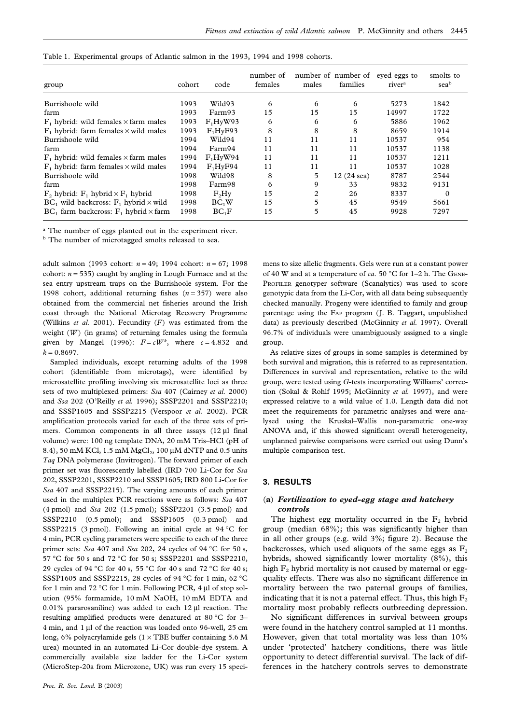| group                                             | cohort | code                 | number of<br>females | males          | number of number of<br>families | eved eggs to<br>river <sup>a</sup> | smolts to<br>seab |
|---------------------------------------------------|--------|----------------------|----------------------|----------------|---------------------------------|------------------------------------|-------------------|
| Burrishoole wild                                  | 1993   | Wild93               | 6                    | 6              | 6                               | 5273                               | 1842              |
| farm                                              | 1993   | Farm93               | 15                   | 15             | 15                              | 14997                              | 1722              |
| $F_1$ hybrid: wild females $\times$ farm males    | 1993   | F <sub>1</sub> HvW93 | 6                    | 6              | 6                               | 5886                               | 1962              |
| $F_1$ hybrid: farm females $\times$ wild males    | 1993   | F <sub>1</sub> HvF93 | 8                    | 8              | 8                               | 8659                               | 1914              |
| Burrishoole wild                                  | 1994   | Wild94               | 11                   | 11             | 11                              | 10537                              | 954               |
| farm                                              | 1994   | Farm94               | 11                   | 11             | 11                              | 10537                              | 1138              |
| $F_1$ hybrid: wild females $\times$ farm males    | 1994   | F <sub>1</sub> HvW94 | 11                   | 11             | 11                              | 10537                              | 1211              |
| $F_1$ hybrid: farm females $\times$ wild males    | 1994   | F <sub>1</sub> HvF94 | 11                   | 11             | 11                              | 10537                              | 1028              |
| Burrishoole wild                                  | 1998   | Wild98               | 8                    | 5              | $12(24$ sea)                    | 8787                               | 2544              |
| farm                                              | 1998   | Farm98               | 6                    | 9              | 33                              | 9832                               | 9131              |
| $F_2$ hybrid: $F_1$ hybrid $\times F_1$ hybrid    | 1998   | F <sub>2</sub> Hv    | 15                   | $\overline{c}$ | 26                              | 8337                               | $\Omega$          |
| $BC_1$ wild backcross: $F_1$ hybrid $\times$ wild | 1998   | BC <sub>1</sub> W    | 15                   | 5              | 45                              | 9549                               | 5661              |
| $BC_1$ farm backcross: $F_1$ hybrid $\times$ farm | 1998   | $BC_1F$              | 15                   | 5              | 45                              | 9928                               | 7297              |

Table 1. Experimental groups of Atlantic salmon in the 1993, 1994 and 1998 cohorts.

<sup>a</sup> The number of eggs planted out in the experiment river.

**b** The number of microtagged smolts released to sea.

adult salmon (1993 cohort: *n* = 49; 1994 cohort: *n* = 67; 1998 cohort:  $n = 535$ ) caught by angling in Lough Furnace and at the sea entry upstream traps on the Burrishoole system. For the 1998 cohort, additional returning fishes  $(n = 357)$  were also obtained from the commercial net fisheries around the Irish coast through the National Microtag Recovery Programme (Wilkins *et al.* 2001). Fecundity (*F*) was estimated from the weight (*W*) (in grams) of returning females using the formula given by Mangel (1996):  $F = cW^k$ , where  $c = 4.832$  and  $k = 0.8697$ .

Sampled individuals, except returning adults of the 1998 cohort (identifiable from microtags), were identified by microsatellite profiling involving six microsatellite loci as three sets of two multiplexed primers: *Ssa* 407 (Cairney *et al.* 2000) and *Ssa* 202 (O'Reilly *et al.* 1996); SSSP2201 and SSSP2210; and SSSP1605 and SSSP2215 (Verspoor *et al.* 2002). PCR amplification protocols varied for each of the three sets of primers. Common components in all three assays  $(12 \mu)$  final volume) were: 100 ng template DNA, 20 mM Tris–HCl (pH of 8.4), 50 mM KCl, 1.5 mM  $MgCl<sub>2</sub>$ , 100 µM dNTP and 0.5 units *Taq* DNA polymerase (Invitrogen). The forward primer of each primer set was fluorescently labelled (IRD 700 Li-Cor for *Ssa* 202, SSSP2201, SSSP2210 and SSSP1605; IRD 800 Li-Cor for *Ssa* 407 and SSSP2215). The varying amounts of each primer used in the multiplex PCR reactions were as follows: *Ssa* 407 (4 pmol) and *Ssa* 202 (1.5 pmol); SSSP2201 (3.5 pmol) and SSSP2210 (0.5 pmol); and SSSP1605 (0.3 pmol) and SSSP2215 (3 pmol). Following an initial cycle at 94 °C for 4 min, PCR cycling parameters were specific to each of the three primer sets: *Ssa* 407 and *Ssa* 202, 24 cycles of 94 °C for 50 s, 57 °C for 50 s and 72 °C for 50 s; SSSP2201 and SSSP2210, 29 cycles of 94 °C for 40 s, 55 °C for 40 s and 72 °C for 40 s; SSSP1605 and SSSP2215, 28 cycles of 94 °C for 1 min, 62 °C for 1 min and 72 °C for 1 min. Following PCR, 4 µl of stop solution (95% formamide, 10 mM NaOH, 10 mM EDTA and 0.01% pararosaniline) was added to each 12 µl reaction. The resulting amplified products were denatured at 80 °C for 3– 4 min, and 1 µl of the reaction was loaded onto 96-well, 25 cm long,  $6\%$  polyacrylamide gels ( $1 \times$  TBE buffer containing 5.6 M urea) mounted in an automated Li-Cor double-dye system. A commercially available size ladder for the Li-Cor system (MicroStep-20a from Microzone, UK) was run every 15 specimens to size allelic fragments. Gels were run at a constant power of 40 W and at a temperature of *ca*. 50 °C for 1–2 h. The Gene-PROFILER genotyper software (Scanalytics) was used to score genotypic data from the Li-Cor, with all data being subsequently checked manually. Progeny were identified to family and group parentage using the Fap program (J. B. Taggart, unpublished data) as previously described (McGinnity *et al.* 1997). Overall 96.7% of individuals were unambiguously assigned to a single group.

As relative sizes of groups in some samples is determined by both survival and migration, this is referred to as representation. Differences in survival and representation, relative to the wild group, were tested using *G*-tests incorporating Williams' correction (Sokal & Rohlf 1995; McGinnity *et al.* 1997), and were expressed relative to a wild value of 1.0. Length data did not meet the requirements for parametric analyses and were analysed using the Kruskal–Wallis non-parametric one-way ANOVA and, if this showed significant overall heterogeneity, unplanned pairwise comparisons were carried out using Dunn's multiple comparison test.

## **3. RESULTS**

# (**a**) *Fertilization to eyed-egg stage and hatchery controls*

The highest egg mortality occurred in the  $F_2$  hybrid group (median 68%); this was significantly higher than in all other groups (e.g. wild 3%; figure 2). Because the backcrosses, which used aliquots of the same eggs as  $F_2$ hybrids, showed significantly lower mortality (8%), this high  $F_2$  hybrid mortality is not caused by maternal or eggquality effects. There was also no significant difference in mortality between the two paternal groups of families, indicating that it is not a paternal effect. Thus, this high  $F_2$ mortality most probably reflects outbreeding depression.

No significant differences in survival between groups were found in the hatchery control sampled at 11 months. However, given that total mortality was less than 10% under 'protected' hatchery conditions, there was little opportunity to detect differential survival. The lack of differences in the hatchery controls serves to demonstrate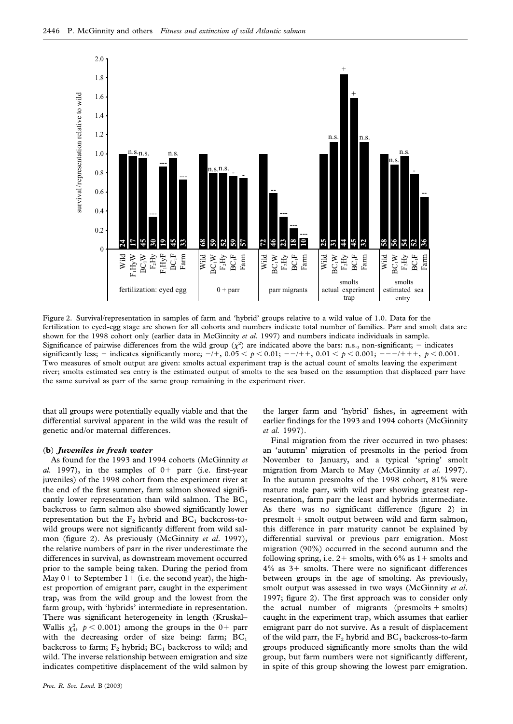

Figure 2. Survival/representation in samples of farm and 'hybrid' groups relative to a wild value of 1.0. Data for the fertilization to eyed-egg stage are shown for all cohorts and numbers indicate total number of families. Parr and smolt data are shown for the 1998 cohort only (earlier data in McGinnity *et al.* 1997) and numbers indicate individuals in sample. Significance of pairwise differences from the wild group  $(\chi^2)$  are indicated above the bars: n.s., non-significant; - indicates significantly less; + indicates significantly more;  $-/+$ ,  $0.05 < p < 0.01$ ;  $-/-$ ++,  $0.01 < p < 0.001$ ;  $-/-$ +++,  $p < 0.001$ . Two measures of smolt output are given: smolts actual experiment trap is the actual count of smolts leaving the experiment river; smolts estimated sea entry is the estimated output of smolts to the sea based on the assumption that displaced parr have the same survival as parr of the same group remaining in the experiment river.

that all groups were potentially equally viable and that the differential survival apparent in the wild was the result of genetic and/or maternal differences.

#### (**b**) *Juveniles in fresh water*

As found for the 1993 and 1994 cohorts (McGinnity *et al.* 1997), in the samples of  $0+$  parr (i.e. first-year juveniles) of the 1998 cohort from the experiment river at the end of the first summer, farm salmon showed significantly lower representation than wild salmon. The  $BC_1$ backcross to farm salmon also showed significantly lower representation but the  $F_2$  hybrid and  $BC_1$  backcross-towild groups were not significantly different from wild salmon (figure 2). As previously (McGinnity *et al*. 1997), the relative numbers of parr in the river underestimate the differences in survival, as downstream movement occurred prior to the sample being taken. During the period from May  $0+$  to September  $1+$  (i.e. the second year), the highest proportion of emigrant parr, caught in the experiment trap, was from the wild group and the lowest from the farm group, with 'hybrids' intermediate in representation. There was significant heterogeneity in length (Kruskal– Wallis  $\chi^2_4$ ,  $p < 0.001$ ) among the groups in the 0+ parr with the decreasing order of size being: farm;  $BC<sub>1</sub>$ backcross to farm;  $F_2$  hybrid;  $BC_1$  backcross to wild; and wild. The inverse relationship between emigration and size indicates competitive displacement of the wild salmon by

the larger farm and 'hybrid' fishes, in agreement with earlier findings for the 1993 and 1994 cohorts (McGinnity *et al.* 1997).

Final migration from the river occurred in two phases: an 'autumn' migration of presmolts in the period from November to January, and a typical 'spring' smolt migration from March to May (McGinnity *et al.* 1997). In the autumn presmolts of the 1998 cohort, 81% were mature male parr, with wild parr showing greatest representation, farm parr the least and hybrids intermediate. As there was no significant difference (figure 2) in presmolt  $+$  smolt output between wild and farm salmon, this difference in parr maturity cannot be explained by differential survival or previous parr emigration. Most migration (90%) occurred in the second autumn and the following spring, i.e.  $2+$  smolts, with 6% as  $1+$  smolts and  $4\%$  as  $3+$  smolts. There were no significant differences between groups in the age of smolting. As previously, smolt output was assessed in two ways (McGinnity *et al*. 1997; figure 2). The first approach was to consider only the actual number of migrants (presmolts  $+$  smolts) caught in the experiment trap, which assumes that earlier emigrant parr do not survive. As a result of displacement of the wild parr, the  $F_2$  hybrid and  $BC_1$  backcross-to-farm groups produced significantly more smolts than the wild group, but farm numbers were not significantly different, in spite of this group showing the lowest parr emigration.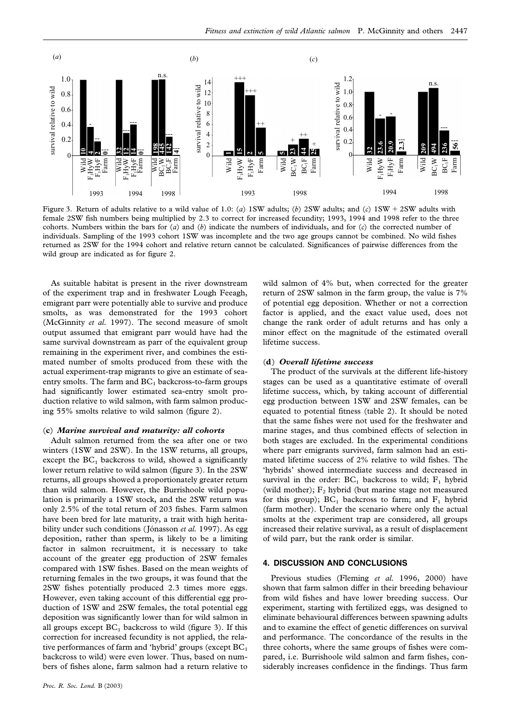

Figure 3. Return of adults relative to a wild value of 1.0: (*a*) 1SW adults; (*b*) 2SW adults; and (*c*) 1SW 2SW adults with female 2SW fish numbers being multiplied by 2.3 to correct for increased fecundity; 1993, 1994 and 1998 refer to the three cohorts. Numbers within the bars for (*a*) and (*b*) indicate the numbers of individuals, and for (*c*) the corrected number of individuals. Sampling of the 1993 cohort 1SW was incomplete and the two age groups cannot be combined. No wild fishes returned as 2SW for the 1994 cohort and relative return cannot be calculated. Significances of pairwise differences from the wild group are indicated as for figure 2.

As suitable habitat is present in the river downstream of the experiment trap and in freshwater Lough Feeagh, emigrant parr were potentially able to survive and produce smolts, as was demonstrated for the 1993 cohort (McGinnity *et al.* 1997). The second measure of smolt output assumed that emigrant parr would have had the same survival downstream as parr of the equivalent group remaining in the experiment river, and combines the estimated number of smolts produced from these with the actual experiment-trap migrants to give an estimate of seaentry smolts. The farm and  $BC<sub>1</sub>$  backcross-to-farm groups had significantly lower estimated sea-entry smolt production relative to wild salmon, with farm salmon producing 55% smolts relative to wild salmon (figure 2).

## (**c**) *Marine survival and maturity: all cohorts*

Adult salmon returned from the sea after one or two winters (1SW and 2SW). In the 1SW returns, all groups, except the  $BC<sub>1</sub>$  backcross to wild, showed a significantly lower return relative to wild salmon (figure 3). In the 2SW returns, all groups showed a proportionately greater return than wild salmon. However, the Burrishoole wild population is primarily a 1SW stock, and the 2SW return was only 2.5% of the total return of 203 fishes. Farm salmon have been bred for late maturity, a trait with high heritability under such conditions (Jónasson et al. 1997). As egg deposition, rather than sperm, is likely to be a limiting factor in salmon recruitment, it is necessary to take account of the greater egg production of 2SW females compared with 1SW fishes. Based on the mean weights of returning females in the two groups, it was found that the 2SW fishes potentially produced 2.3 times more eggs. However, even taking account of this differential egg production of 1SW and 2SW females, the total potential egg deposition was significantly lower than for wild salmon in all groups except  $BC_1$  backcross to wild (figure 3). If this correction for increased fecundity is not applied, the relative performances of farm and 'hybrid' groups (except  $BC<sub>1</sub>$ backcross to wild) were even lower. Thus, based on numbers of fishes alone, farm salmon had a return relative to

wild salmon of 4% but, when corrected for the greater return of 2SW salmon in the farm group, the value is 7% of potential egg deposition. Whether or not a correction factor is applied, and the exact value used, does not change the rank order of adult returns and has only a minor effect on the magnitude of the estimated overall lifetime success.

### (**d**) *Overall lifetime success*

The product of the survivals at the different life-history stages can be used as a quantitative estimate of overall lifetime success, which, by taking account of differential egg production between 1SW and 2SW females, can be equated to potential fitness (table 2). It should be noted that the same fishes were not used for the freshwater and marine stages, and thus combined effects of selection in both stages are excluded. In the experimental conditions where parr emigrants survived, farm salmon had an estimated lifetime success of 2% relative to wild fishes. The 'hybrids' showed intermediate success and decreased in survival in the order:  $BC_1$  backcross to wild;  $F_1$  hybrid (wild mother);  $F_2$  hybrid (but marine stage not measured for this group);  $BC_1$  backcross to farm; and  $F_1$  hybrid (farm mother). Under the scenario where only the actual smolts at the experiment trap are considered, all groups increased their relative survival, as a result of displacement of wild parr, but the rank order is similar.

# **4. DISCUSSION AND CONCLUSIONS**

Previous studies (Fleming *et al.* 1996, 2000) have shown that farm salmon differ in their breeding behaviour from wild fishes and have lower breeding success. Our experiment, starting with fertilized eggs, was designed to eliminate behavioural differences between spawning adults and to examine the effect of genetic differences on survival and performance. The concordance of the results in the three cohorts, where the same groups of fishes were compared, i.e. Burrishoole wild salmon and farm fishes, considerably increases confidence in the findings. Thus farm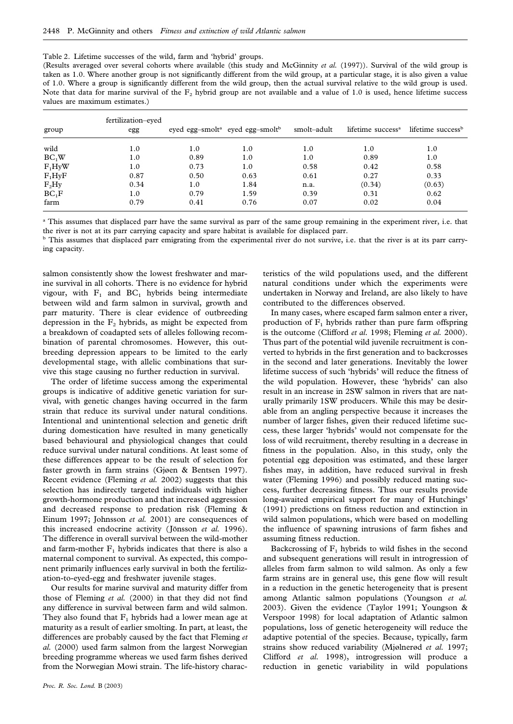| Table 2. Lifetime successes of the wild, farm and 'hybrid' groups. |
|--------------------------------------------------------------------|
|--------------------------------------------------------------------|

(Results averaged over several cohorts where available (this study and McGinnity *et al.* (1997)). Survival of the wild group is taken as 1.0. Where another group is not significantly different from the wild group, at a particular stage, it is also given a value of 1.0. Where a group is significantly different from the wild group, then the actual survival relative to the wild group is used. Note that data for marine survival of the  $F_2$  hybrid group are not available and a value of 1.0 is used, hence lifetime success values are maximum estimates.)

| group             | fertilization-eyed<br>egg |      | eyed egg-smolt <sup>a</sup> eyed egg-smolt <sup>b</sup> | smolt–adult | lifetime success <sup>a</sup> | lifetime success <sup>b</sup> |
|-------------------|---------------------------|------|---------------------------------------------------------|-------------|-------------------------------|-------------------------------|
| wild              | 1.0                       | 1.0  | 1.0                                                     | 1.0         | 1.0                           | 1.0                           |
| BC <sub>1</sub> W | 1.0                       | 0.89 | 1.0                                                     | 1.0         | 0.89                          | 1.0                           |
| $F_1HyW$          | 1.0                       | 0.73 | 1.0                                                     | 0.58        | 0.42                          | 0.58                          |
| $F_1HyF$          | 0.87                      | 0.50 | 0.63                                                    | 0.61        | 0.27                          | 0.33                          |
| $F_2Hy$           | 0.34                      | 1.0  | 1.84                                                    | n.a.        | (0.34)                        | (0.63)                        |
| $BC_1F$           | 1.0                       | 0.79 | 1.59                                                    | 0.39        | 0.31                          | 0.62                          |
| farm              | 0.79                      | 0.41 | 0.76                                                    | 0.07        | 0.02                          | 0.04                          |

<sup>a</sup> This assumes that displaced parr have the same survival as parr of the same group remaining in the experiment river, i.e. that the river is not at its parr carrying capacity and spare habitat is available for displaced parr.

<sup>b</sup> This assumes that displaced parr emigrating from the experimental river do not survive, i.e. that the river is at its parr carrying capacity.

salmon consistently show the lowest freshwater and marine survival in all cohorts. There is no evidence for hybrid vigour, with  $F_1$  and  $BC_1$  hybrids being intermediate between wild and farm salmon in survival, growth and parr maturity. There is clear evidence of outbreeding depression in the  $F_2$  hybrids, as might be expected from a breakdown of coadapted sets of alleles following recombination of parental chromosomes. However, this outbreeding depression appears to be limited to the early developmental stage, with allelic combinations that survive this stage causing no further reduction in survival.

The order of lifetime success among the experimental groups is indicative of additive genetic variation for survival, with genetic changes having occurred in the farm strain that reduce its survival under natural conditions. Intentional and unintentional selection and genetic drift during domestication have resulted in many genetically based behavioural and physiological changes that could reduce survival under natural conditions. At least some of these differences appear to be the result of selection for faster growth in farm strains (Gjøen & Bentsen 1997). Recent evidence (Fleming *et al.* 2002) suggests that this selection has indirectly targeted individuals with higher growth-hormone production and that increased aggression and decreased response to predation risk (Fleming & Einum 1997; Johnsson *et al.* 2001) are consequences of this increased endocrine activity (Jönsson et al. 1996). The difference in overall survival between the wild-mother and farm-mother  $F_1$  hybrids indicates that there is also a maternal component to survival. As expected, this component primarily influences early survival in both the fertilization-to-eyed-egg and freshwater juvenile stages.

Our results for marine survival and maturity differ from those of Fleming *et al.* (2000) in that they did not find any difference in survival between farm and wild salmon. They also found that  $F_1$  hybrids had a lower mean age at maturity as a result of earlier smolting. In part, at least, the differences are probably caused by the fact that Fleming *et al.* (2000) used farm salmon from the largest Norwegian breeding programme whereas we used farm fishes derived from the Norwegian Mowi strain. The life-history charac-

teristics of the wild populations used, and the different natural conditions under which the experiments were undertaken in Norway and Ireland, are also likely to have contributed to the differences observed.

In many cases, where escaped farm salmon enter a river, production of  $F_1$  hybrids rather than pure farm offspring is the outcome (Clifford *et al.* 1998; Fleming *et al.* 2000). Thus part of the potential wild juvenile recruitment is converted to hybrids in the first generation and to backcrosses in the second and later generations. Inevitably the lower lifetime success of such 'hybrids' will reduce the fitness of the wild population. However, these 'hybrids' can also result in an increase in 2SW salmon in rivers that are naturally primarily 1SW producers. While this may be desirable from an angling perspective because it increases the number of larger fishes, given their reduced lifetime success, these larger 'hybrids' would not compensate for the loss of wild recruitment, thereby resulting in a decrease in fitness in the population. Also, in this study, only the potential egg deposition was estimated, and these larger fishes may, in addition, have reduced survival in fresh water (Fleming 1996) and possibly reduced mating success, further decreasing fitness. Thus our results provide long-awaited empirical support for many of Hutchings' (1991) predictions on fitness reduction and extinction in wild salmon populations, which were based on modelling the influence of spawning intrusions of farm fishes and assuming fitness reduction.

Backcrossing of  $F_1$  hybrids to wild fishes in the second and subsequent generations will result in introgression of alleles from farm salmon to wild salmon. As only a few farm strains are in general use, this gene flow will result in a reduction in the genetic heterogeneity that is present among Atlantic salmon populations (Youngson *et al.* 2003). Given the evidence (Taylor 1991; Youngson & Verspoor 1998) for local adaptation of Atlantic salmon populations, loss of genetic heterogeneity will reduce the adaptive potential of the species. Because, typically, farm strains show reduced variability (Mjølnerød *et al.* 1997; Clifford *et al.* 1998), introgression will produce a reduction in genetic variability in wild populations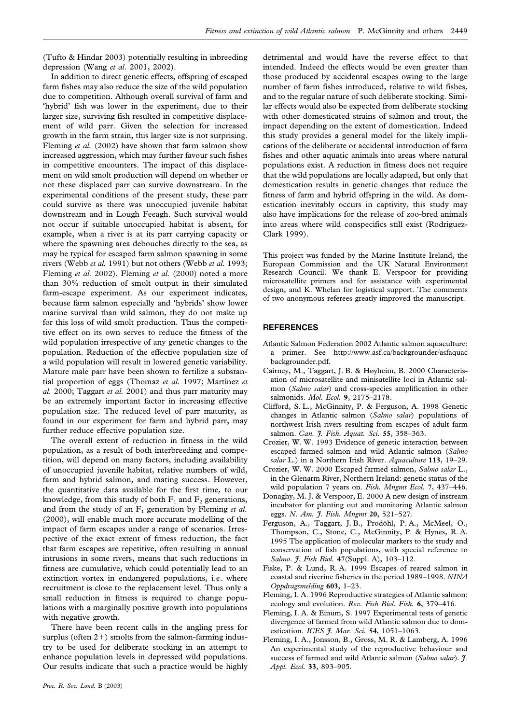(Tufto & Hindar 2003) potentially resulting in inbreeding depression (Wang *et al*. 2001, 2002).

In addition to direct genetic effects, offspring of escaped farm fishes may also reduce the size of the wild population due to competition. Although overall survival of farm and 'hybrid' fish was lower in the experiment, due to their larger size, surviving fish resulted in competitive displacement of wild parr. Given the selection for increased growth in the farm strain, this larger size is not surprising. Fleming *et al.* (2002) have shown that farm salmon show increased aggression, which may further favour such fishes in competitive encounters. The impact of this displacement on wild smolt production will depend on whether or not these displaced parr can survive downstream. In the experimental conditions of the present study, these parr could survive as there was unoccupied juvenile habitat downstream and in Lough Feeagh. Such survival would not occur if suitable unoccupied habitat is absent, for example, when a river is at its parr carrying capacity or where the spawning area debouches directly to the sea, as may be typical for escaped farm salmon spawning in some rivers (Webb *et al.* 1991) but not others (Webb *et al.* 1993; Fleming *et al.* 2002). Fleming *et al.* (2000) noted a more than 30% reduction of smolt output in their simulated farm-escape experiment. As our experiment indicates, because farm salmon especially and 'hybrids' show lower marine survival than wild salmon, they do not make up for this loss of wild smolt production. Thus the competitive effect on its own serves to reduce the fitness of the wild population irrespective of any genetic changes to the population. Reduction of the effective population size of a wild population will result in lowered genetic variability. Mature male parr have been shown to fertilize a substantial proportion of eggs (Thomaz *et al.* 1997; Martinez *et al.* 2000; Taggart *et al.* 2001) and thus parr maturity may be an extremely important factor in increasing effective population size. The reduced level of parr maturity, as found in our experiment for farm and hybrid parr, may further reduce effective population size.

The overall extent of reduction in fitness in the wild population, as a result of both interbreeding and competition, will depend on many factors, including availability of unoccupied juvenile habitat, relative numbers of wild, farm and hybrid salmon, and mating success. However, the quantitative data available for the first time, to our knowledge, from this study of both  $F_1$  and  $F_2$  generations, and from the study of an  $F_1$  generation by Fleming *et al.* (2000), will enable much more accurate modelling of the impact of farm escapes under a range of scenarios. Irrespective of the exact extent of fitness reduction, the fact that farm escapes are repetitive, often resulting in annual intrusions in some rivers, means that such reductions in fitness are cumulative, which could potentially lead to an extinction vortex in endangered populations, i.e. where recruitment is close to the replacement level. Thus only a small reduction in fitness is required to change populations with a marginally positive growth into populations with negative growth.

There have been recent calls in the angling press for surplus (often  $2+$ ) smolts from the salmon-farming industry to be used for deliberate stocking in an attempt to enhance population levels in depressed wild populations. Our results indicate that such a practice would be highly detrimental and would have the reverse effect to that intended. Indeed the effects would be even greater than those produced by accidental escapes owing to the large number of farm fishes introduced, relative to wild fishes, and to the regular nature of such deliberate stocking. Similar effects would also be expected from deliberate stocking with other domesticated strains of salmon and trout, the impact depending on the extent of domestication. Indeed this study provides a general model for the likely implications of the deliberate or accidental introduction of farm fishes and other aquatic animals into areas where natural populations exist. A reduction in fitness does not require that the wild populations are locally adapted, but only that domestication results in genetic changes that reduce the fitness of farm and hybrid offspring in the wild. As domestication inevitably occurs in captivity, this study may also have implications for the release of zoo-bred animals into areas where wild conspecifics still exist (Rodriguez-Clark 1999).

This project was funded by the Marine Institute Ireland, the European Commission and the UK Natural Environment Research Council. We thank E. Verspoor for providing microsatellite primers and for assistance with experimental design, and K. Whelan for logistical support. The comments of two anonymous referees greatly improved the manuscript.

## **REFERENCES**

- Atlantic Salmon Federation 2002 Atlantic salmon aquaculture: a primer. See http://www.asf.ca/backgrounder/asfaquac backgrounder.pdf.
- Cairney, M., Taggart, J. B. & Høyheim, B. 2000 Characterisation of microsatellite and minisatellite loci in Atlantic salmon (*Salmo salar*) and cross-species amplification in other salmonids. *Mol. Ecol.* **9**, 2175–2178.
- Clifford, S. L., McGinnity, P. & Ferguson, A. 1998 Genetic changes in Atlantic salmon (*Salmo salar*) populations of northwest Irish rivers resulting from escapes of adult farm salmon. *Can. J. Fish. Aquat. Sci.* **55**, 358–363.
- Crozier, W. W. 1993 Evidence of genetic interaction between escaped farmed salmon and wild Atlantic salmon (*Salmo salar* L.) in a Northern Irish River. *Aquaculture* **113**, 19–29.
- Crozier, W. W. 2000 Escaped farmed salmon, *Salmo salar* L., in the Glenarm River, Northern Ireland: genetic status of the wild population 7 years on. *Fish. Mngmt Ecol.* **7**, 437–446.
- Donaghy, M. J. & Verspoor, E. 2000 A new design of instream incubator for planting out and monitoring Atlantic salmon eggs. *N. Am. J. Fish. Mngmt* **20**, 521–527.
- Ferguson, A., Taggart, J. B., Prodöhl, P. A., McMeel, O., Thompson, C., Stone, C., McGinnity, P. & Hynes, R. A. 1995 The application of molecular markers to the study and conservation of fish populations, with special reference to *Salmo*. *J. Fish Biol.* **47**(Suppl. A), 103–112.
- Fiske, P. & Lund, R. A. 1999 Escapes of reared salmon in coastal and riverine fisheries in the period 1989–1998. *NINA Oppdragsmelding* **603**, 1–23.
- Fleming, I. A. 1996 Reproductive strategies of Atlantic salmon: ecology and evolution. *Rev. Fish Biol. Fish.* **6**, 379–416.
- Fleming, I. A. & Einum, S. 1997 Experimental tests of genetic divergence of farmed from wild Atlantic salmon due to domestication. *ICES J. Mar. Sci.* **54**, 1051–1063.
- Fleming, I. A., Jonsson, B., Gross, M. R. & Lamberg, A. 1996 An experimental study of the reproductive behaviour and success of farmed and wild Atlantic salmon (*Salmo salar*). *J. Appl. Ecol.* **33**, 893–905.